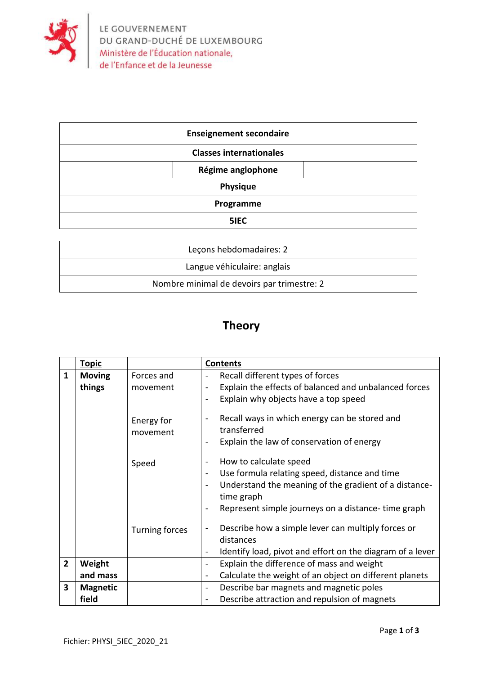

| <b>Enseignement secondaire</b> |                   |  |
|--------------------------------|-------------------|--|
| <b>Classes internationales</b> |                   |  |
|                                | Régime anglophone |  |
| Physique                       |                   |  |
| Programme                      |                   |  |
| 5IEC                           |                   |  |
|                                |                   |  |
| econs hebdomadaires: 2         |                   |  |

| Lecons hebdomadaires: 2                    |  |
|--------------------------------------------|--|
| Langue véhiculaire: anglais                |  |
| Nombre minimal de devoirs par trimestre: 2 |  |

## **Theory**

|                | <u>Topic</u>    |                        | <b>Contents</b>                                                                                                                                                                                      |
|----------------|-----------------|------------------------|------------------------------------------------------------------------------------------------------------------------------------------------------------------------------------------------------|
| $\mathbf{1}$   | <b>Moving</b>   | Forces and             | Recall different types of forces<br>$\overline{\phantom{0}}$                                                                                                                                         |
|                | things          | movement               | Explain the effects of balanced and unbalanced forces<br>Explain why objects have a top speed                                                                                                        |
|                |                 | Energy for<br>movement | Recall ways in which energy can be stored and<br>transferred<br>Explain the law of conservation of energy                                                                                            |
|                |                 | Speed                  | How to calculate speed<br>Use formula relating speed, distance and time<br>Understand the meaning of the gradient of a distance-<br>time graph<br>Represent simple journeys on a distance-time graph |
|                |                 | <b>Turning forces</b>  | Describe how a simple lever can multiply forces or<br>distances<br>Identify load, pivot and effort on the diagram of a lever                                                                         |
| $\overline{2}$ | Weight          |                        | Explain the difference of mass and weight<br>۰                                                                                                                                                       |
|                | and mass        |                        | Calculate the weight of an object on different planets<br>$\qquad \qquad \blacksquare$                                                                                                               |
| 3              | <b>Magnetic</b> |                        | Describe bar magnets and magnetic poles<br>$\qquad \qquad \blacksquare$                                                                                                                              |
|                | field           |                        | Describe attraction and repulsion of magnets                                                                                                                                                         |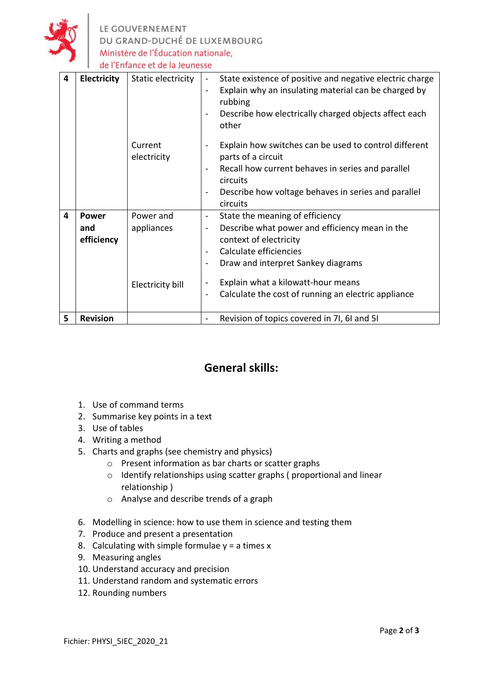

LE GOUVERNEMENT<br>DU GRAND-DUCHÉ DE LUXEMBOURG Ministère de l'Éducation nationale, de l'Enfance et de la Jeunesse

| 4 | Electricity                       | Static electricity<br>Current<br>electricity | State existence of positive and negative electric charge<br>$\qquad \qquad \blacksquare$<br>Explain why an insulating material can be charged by<br>$\overline{\phantom{a}}$<br>rubbing<br>Describe how electrically charged objects affect each<br>$\qquad \qquad \blacksquare$<br>other<br>Explain how switches can be used to control different<br>$\qquad \qquad \blacksquare$<br>parts of a circuit<br>Recall how current behaves in series and parallel<br>circuits<br>Describe how voltage behaves in series and parallel<br>$\blacksquare$<br>circuits |
|---|-----------------------------------|----------------------------------------------|----------------------------------------------------------------------------------------------------------------------------------------------------------------------------------------------------------------------------------------------------------------------------------------------------------------------------------------------------------------------------------------------------------------------------------------------------------------------------------------------------------------------------------------------------------------|
| 4 | <b>Power</b><br>and<br>efficiency | Power and<br>appliances<br>Electricity bill  | State the meaning of efficiency<br>$\blacksquare$<br>Describe what power and efficiency mean in the<br>$\qquad \qquad \blacksquare$<br>context of electricity<br>Calculate efficiencies<br>$\qquad \qquad \blacksquare$<br>Draw and interpret Sankey diagrams<br>$\qquad \qquad \blacksquare$<br>Explain what a kilowatt-hour means<br>Calculate the cost of running an electric appliance<br>$\overline{a}$                                                                                                                                                   |
| 5 | <b>Revision</b>                   |                                              | Revision of topics covered in 7I, 6I and 5I                                                                                                                                                                                                                                                                                                                                                                                                                                                                                                                    |

## **General skills:**

- 1. Use of command terms
- 2. Summarise key points in a text
- 3. Use of tables
- 4. Writing a method
- 5. Charts and graphs (see chemistry and physics)
	- o Present information as bar charts or scatter graphs
	- o Identify relationships using scatter graphs ( proportional and linear relationship )
	- o Analyse and describe trends of a graph
- 6. Modelling in science: how to use them in science and testing them
- 7. Produce and present a presentation
- 8. Calculating with simple formulae  $y = a$  times x
- 9. Measuring angles
- 10. Understand accuracy and precision
- 11. Understand random and systematic errors
- 12. Rounding numbers